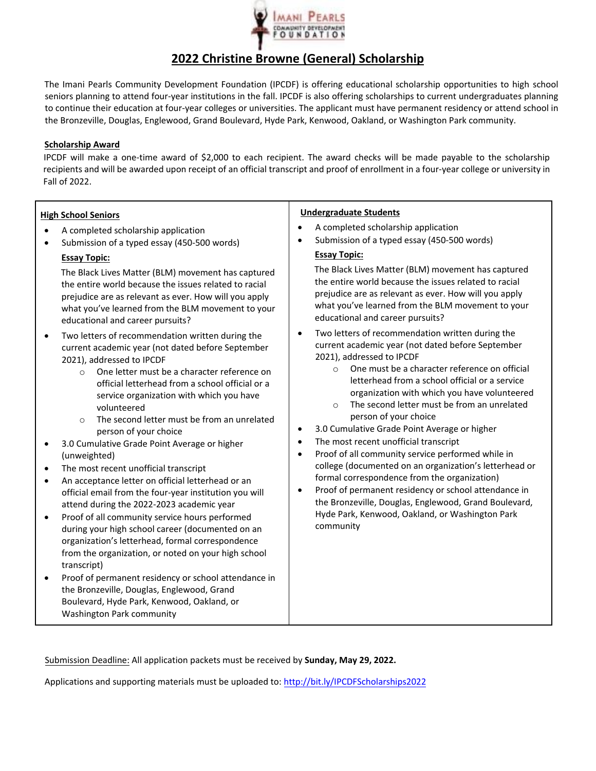

## **2022 Christine Browne (General) Scholarship**

The Imani Pearls Community Development Foundation (IPCDF) is offering educational scholarship opportunities to high school seniors planning to attend four-year institutions in the fall. IPCDF is also offering scholarships to current undergraduates planning to continue their education at four‐year colleges or universities. The applicant must have permanent residency or attend school in the Bronzeville, Douglas, Englewood, Grand Boulevard, Hyde Park, Kenwood, Oakland, or Washington Park community.

## **Scholarship Award**

IPCDF will make a one‐time award of \$2,000 to each recipient. The award checks will be made payable to the scholarship recipients and will be awarded upon receipt of an official transcript and proof of enrollment in a four‐year college or university in Fall of 2022.

| <b>High School Seniors</b>                                                                                                                                                                                                                                                                                                                                                                                                                                                                                                                                                                                                                                                                                                                                                                                                                                                                                                                                                                                                                                                                                                                            | <b>Undergraduate Students</b>                                                                                                                                                                                                                                                                                                                                                                                                                                                                                                                                                                                                                                                                                                                                                                                                                                                     |
|-------------------------------------------------------------------------------------------------------------------------------------------------------------------------------------------------------------------------------------------------------------------------------------------------------------------------------------------------------------------------------------------------------------------------------------------------------------------------------------------------------------------------------------------------------------------------------------------------------------------------------------------------------------------------------------------------------------------------------------------------------------------------------------------------------------------------------------------------------------------------------------------------------------------------------------------------------------------------------------------------------------------------------------------------------------------------------------------------------------------------------------------------------|-----------------------------------------------------------------------------------------------------------------------------------------------------------------------------------------------------------------------------------------------------------------------------------------------------------------------------------------------------------------------------------------------------------------------------------------------------------------------------------------------------------------------------------------------------------------------------------------------------------------------------------------------------------------------------------------------------------------------------------------------------------------------------------------------------------------------------------------------------------------------------------|
| A completed scholarship application<br>Submission of a typed essay (450-500 words)<br><b>Essay Topic:</b><br>The Black Lives Matter (BLM) movement has captured<br>the entire world because the issues related to racial<br>prejudice are as relevant as ever. How will you apply<br>what you've learned from the BLM movement to your<br>educational and career pursuits?                                                                                                                                                                                                                                                                                                                                                                                                                                                                                                                                                                                                                                                                                                                                                                            | A completed scholarship application<br>Submission of a typed essay (450-500 words)<br><b>Essay Topic:</b><br>The Black Lives Matter (BLM) movement has captured<br>the entire world because the issues related to racial<br>prejudice are as relevant as ever. How will you apply<br>what you've learned from the BLM movement to your<br>educational and career pursuits?                                                                                                                                                                                                                                                                                                                                                                                                                                                                                                        |
| Two letters of recommendation written during the<br>$\bullet$<br>current academic year (not dated before September<br>2021), addressed to IPCDF<br>One letter must be a character reference on<br>$\Omega$<br>official letterhead from a school official or a<br>service organization with which you have<br>volunteered<br>The second letter must be from an unrelated<br>$\circ$<br>person of your choice<br>3.0 Cumulative Grade Point Average or higher<br>(unweighted)<br>The most recent unofficial transcript<br>$\bullet$<br>An acceptance letter on official letterhead or an<br>$\bullet$<br>official email from the four-year institution you will<br>attend during the 2022-2023 academic year<br>Proof of all community service hours performed<br>$\bullet$<br>during your high school career (documented on an<br>organization's letterhead, formal correspondence<br>from the organization, or noted on your high school<br>transcript)<br>Proof of permanent residency or school attendance in<br>$\bullet$<br>the Bronzeville, Douglas, Englewood, Grand<br>Boulevard, Hyde Park, Kenwood, Oakland, or<br>Washington Park community | Two letters of recommendation written during the<br>$\bullet$<br>current academic year (not dated before September<br>2021), addressed to IPCDF<br>One must be a character reference on official<br>$\circ$<br>letterhead from a school official or a service<br>organization with which you have volunteered<br>The second letter must be from an unrelated<br>$\Omega$<br>person of your choice<br>3.0 Cumulative Grade Point Average or higher<br>The most recent unofficial transcript<br>$\bullet$<br>Proof of all community service performed while in<br>$\bullet$<br>college (documented on an organization's letterhead or<br>formal correspondence from the organization)<br>Proof of permanent residency or school attendance in<br>$\bullet$<br>the Bronzeville, Douglas, Englewood, Grand Boulevard,<br>Hyde Park, Kenwood, Oakland, or Washington Park<br>community |

Submission Deadline: All application packets must be received by **Sunday, May 29, 2022.** 

Applications and supporting materials must be uploaded to: http://bit.ly/IPCDFScholarships2022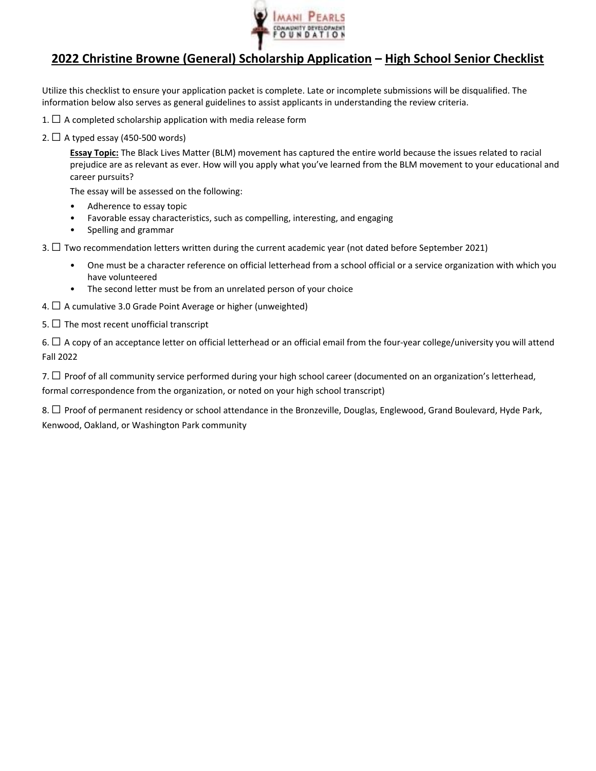

## **2022 Christine Browne (General) Scholarship Application – High School Senior Checklist**

Utilize this checklist to ensure your application packet is complete. Late or incomplete submissions will be disqualified. The information below also serves as general guidelines to assist applicants in understanding the review criteria.

- 1.  $\Box$  A completed scholarship application with media release form
- 2.  $\Box$  A typed essay (450-500 words)

**Essay Topic:** The Black Lives Matter (BLM) movement has captured the entire world because the issues related to racial prejudice are as relevant as ever. How will you apply what you've learned from the BLM movement to your educational and career pursuits?

The essay will be assessed on the following:

- Adherence to essay topic
- Favorable essay characteristics, such as compelling, interesting, and engaging
- Spelling and grammar
- 3. □ Two recommendation letters written during the current academic year (not dated before September 2021)
	- One must be a character reference on official letterhead from a school official or a service organization with which you have volunteered
	- The second letter must be from an unrelated person of your choice
- 4.  $\Box$  A cumulative 3.0 Grade Point Average or higher (unweighted)
- 5.  $\Box$  The most recent unofficial transcript

6. ☐ A copy of an acceptance letter on official letterhead or an official email from the four‐year college/university you will attend Fall 2022

7.  $\Box$  Proof of all community service performed during your high school career (documented on an organization's letterhead, formal correspondence from the organization, or noted on your high school transcript)

8. □ Proof of permanent residency or school attendance in the Bronzeville, Douglas, Englewood, Grand Boulevard, Hyde Park, Kenwood, Oakland, or Washington Park community